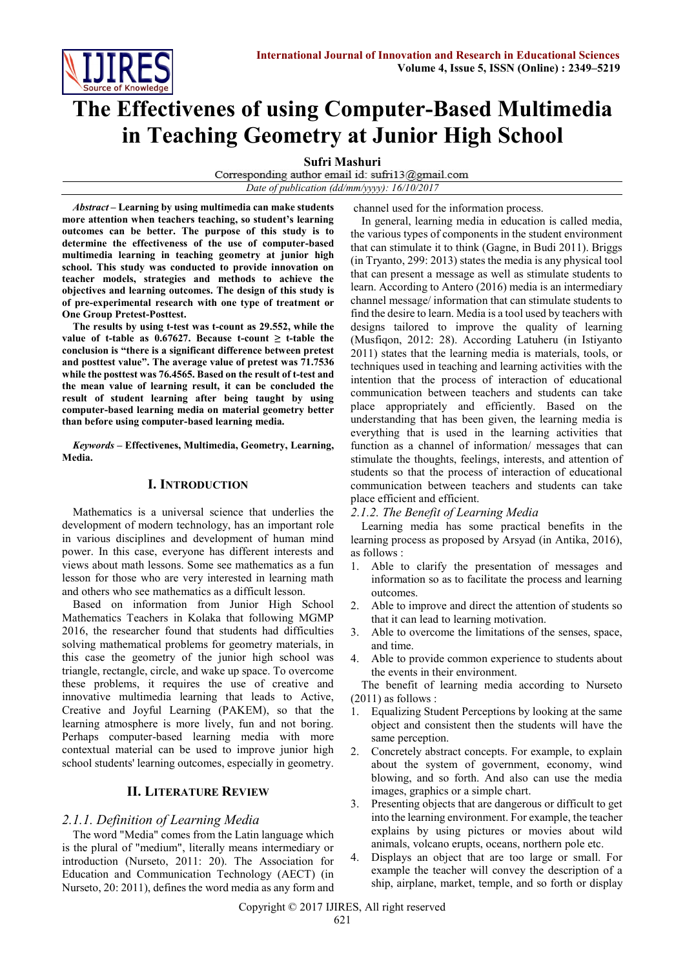

# **The Effectivenes of using Computer-Based Multimedia in Teaching Geometry at Junior High School**

**Sufri Mashuri**<br>Corresponding author email id: sufri13@gmail.com *Date of publication (dd/mm/yyyy): 16/10/2017*

*Abstract* **– Learning by using multimedia can make students more attention when teachers teaching, so student's learning outcomes can be better. The purpose of this study is to determine the effectiveness of the use of computer-based multimedia learning in teaching geometry at junior high school. This study was conducted to provide innovation on teacher models, strategies and methods to achieve the objectives and learning outcomes. The design of this study is of pre-experimental research with one type of treatment or One Group Pretest-Posttest.**

**The results by using t-test was t-count as 29.552, while the value of t-table as 0.67627. Because t-count ≥ t-table the conclusion is "there is a significant difference between pretest and posttest value". The average value of pretest was 71.7536 while the posttest was 76.4565. Based on the result of t-test and the mean value of learning result, it can be concluded the result of student learning after being taught by using computer-based learning media on material geometry better than before using computer-based learning media.**

*Keywords* **– Effectivenes, Multimedia, Geometry, Learning, Media.**

## **I. INTRODUCTION**

Mathematics is a universal science that underlies the development of modern technology, has an important role in various disciplines and development of human mind power. In this case, everyone has different interests and views about math lessons. Some see mathematics as a fun lesson for those who are very interested in learning math and others who see mathematics as a difficult lesson.

Based on information from Junior High School Mathematics Teachers in Kolaka that following MGMP 2016, the researcher found that students had difficulties solving mathematical problems for geometry materials, in this case the geometry of the junior high school was triangle, rectangle, circle, and wake up space. To overcome these problems, it requires the use of creative and innovative multimedia learning that leads to Active, Creative and Joyful Learning (PAKEM), so that the learning atmosphere is more lively, fun and not boring. Perhaps computer-based learning media with more contextual material can be used to improve junior high school students' learning outcomes, especially in geometry.

## **II. LITERATURE REVIEW**

## *2.1.1. Definition of Learning Media*

The word "Media" comes from the Latin language which is the plural of "medium", literally means intermediary or introduction (Nurseto, 2011: 20). The Association for Education and Communication Technology (AECT) (in Nurseto, 20: 2011), defines the word media as any form and channel used for the information process.

In general, learning media in education is called media, the various types of components in the student environment that can stimulate it to think (Gagne, in Budi 2011). Briggs (in Tryanto, 299: 2013) states the media is any physical tool that can present a message as well as stimulate students to learn. According to Antero (2016) media is an intermediary channel message/ information that can stimulate students to find the desire to learn. Media is a tool used by teachers with designs tailored to improve the quality of learning (Musfiqon, 2012: 28). According Latuheru (in Istiyanto 2011) states that the learning media is materials, tools, or techniques used in teaching and learning activities with the intention that the process of interaction of educational communication between teachers and students can take place appropriately and efficiently. Based on the understanding that has been given, the learning media is everything that is used in the learning activities that function as a channel of information/ messages that can stimulate the thoughts, feelings, interests, and attention of students so that the process of interaction of educational communication between teachers and students can take place efficient and efficient.

*2.1.2. The Benefit of Learning Media*

Learning media has some practical benefits in the learning process as proposed by Arsyad (in Antika, 2016), as follows :

- 1. Able to clarify the presentation of messages and information so as to facilitate the process and learning outcomes.
- 2. Able to improve and direct the attention of students so that it can lead to learning motivation.
- 3. Able to overcome the limitations of the senses, space, and time.
- 4. Able to provide common experience to students about the events in their environment.

The benefit of learning media according to Nurseto (2011) as follows :

- 1. Equalizing Student Perceptions by looking at the same object and consistent then the students will have the same perception.
- 2. Concretely abstract concepts. For example, to explain about the system of government, economy, wind blowing, and so forth. And also can use the media images, graphics or a simple chart.
- 3. Presenting objects that are dangerous or difficult to get into the learning environment. For example, the teacher explains by using pictures or movies about wild animals, volcano erupts, oceans, northern pole etc.
- 4. Displays an object that are too large or small. For example the teacher will convey the description of a ship, airplane, market, temple, and so forth or display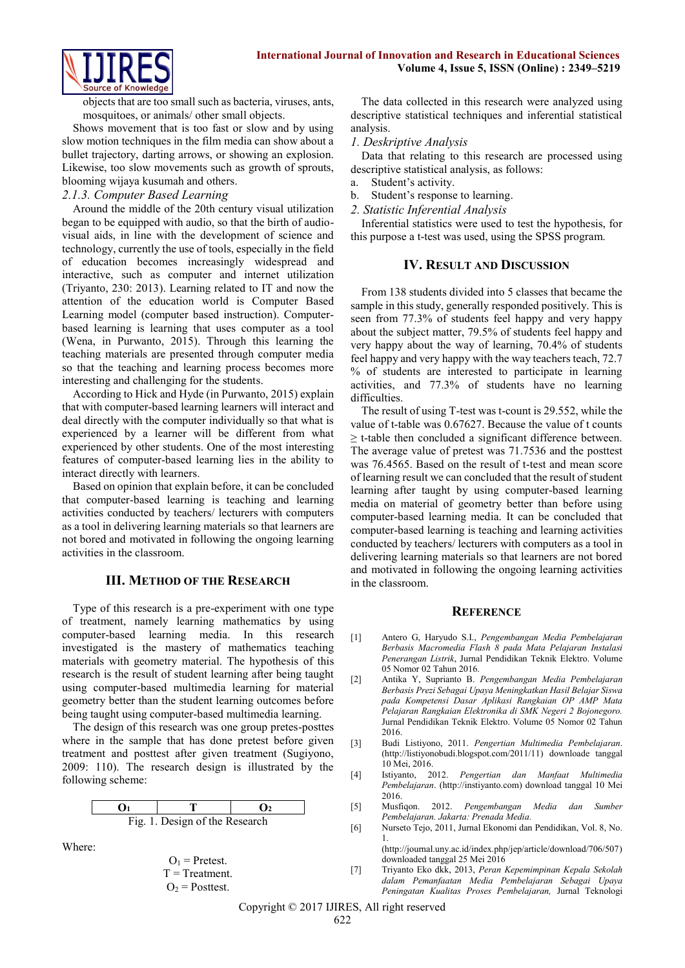

objects that are too small such as bacteria, viruses, ants, mosquitoes, or animals/ other small objects.

Shows movement that is too fast or slow and by using slow motion techniques in the film media can show about a bullet trajectory, darting arrows, or showing an explosion. Likewise, too slow movements such as growth of sprouts, blooming wijaya kusumah and others.

#### *2.1.3. Computer Based Learning*

Around the middle of the 20th century visual utilization began to be equipped with audio, so that the birth of audiovisual aids, in line with the development of science and technology, currently the use of tools, especially in the field of education becomes increasingly widespread and interactive, such as computer and internet utilization (Triyanto, 230: 2013). Learning related to IT and now the attention of the education world is Computer Based Learning model (computer based instruction). Computerbased learning is learning that uses computer as a tool (Wena, in Purwanto, 2015). Through this learning the teaching materials are presented through computer media so that the teaching and learning process becomes more interesting and challenging for the students.

According to Hick and Hyde (in Purwanto, 2015) explain that with computer-based learning learners will interact and deal directly with the computer individually so that what is experienced by a learner will be different from what experienced by other students. One of the most interesting features of computer-based learning lies in the ability to interact directly with learners.

Based on opinion that explain before, it can be concluded that computer-based learning is teaching and learning activities conducted by teachers/ lecturers with computers as a tool in delivering learning materials so that learners are not bored and motivated in following the ongoing learning activities in the classroom.

#### **III. METHOD OF THE RESEARCH**

Type of this research is a pre-experiment with one type of treatment, namely learning mathematics by using computer-based learning media. In this research investigated is the mastery of mathematics teaching materials with geometry material. The hypothesis of this research is the result of student learning after being taught using computer-based multimedia learning for material geometry better than the student learning outcomes before being taught using computer-based multimedia learning.

The design of this research was one group pretes-posttes where in the sample that has done pretest before given treatment and posttest after given treatment (Sugiyono, 2009: 110). The research design is illustrated by the following scheme:

$$
\begin{array}{c|c}\n\mathbf{O}_1 & \mathbf{T} & \mathbf{O}_2 \\
\hline\n\text{Fig. 1. Design of the Research}\n\end{array}
$$

Where:

$$
O1 = \text{Pretest.}
$$
  
T = Treatment.  

$$
O2 = Posttest.
$$

The data collected in this research were analyzed using descriptive statistical techniques and inferential statistical analysis.

## *1. Deskriptive Analysis*

Data that relating to this research are processed using descriptive statistical analysis, as follows:

- a. Student's activity.
- b. Student's response to learning.
- *2. Statistic Inferential Analysis*

Inferential statistics were used to test the hypothesis, for this purpose a t-test was used, using the SPSS program.

### **IV. RESULT AND DISCUSSION**

From 138 students divided into 5 classes that became the sample in this study, generally responded positively. This is seen from 77.3% of students feel happy and very happy about the subject matter, 79.5% of students feel happy and very happy about the way of learning, 70.4% of students feel happy and very happy with the way teachers teach, 72.7 % of students are interested to participate in learning activities, and 77.3% of students have no learning difficulties.

The result of using T-test was t-count is 29.552, while the value of t-table was 0.67627. Because the value of t counts  $\geq$  t-table then concluded a significant difference between. The average value of pretest was 71.7536 and the posttest was 76.4565. Based on the result of t-test and mean score of learning result we can concluded that the result of student learning after taught by using computer-based learning media on material of geometry better than before using computer-based learning media. It can be concluded that computer-based learning is teaching and learning activities conducted by teachers/ lecturers with computers as a tool in delivering learning materials so that learners are not bored and motivated in following the ongoing learning activities in the classroom.

#### **REFERENCE**

- [1] Antero G, Haryudo S.I., *Pengembangan Media Pembelajaran Berbasis Macromedia Flash 8 pada Mata Pelajaran Instalasi Penerangan Listrik*, Jurnal Pendidikan Teknik Elektro. Volume 05 Nomor 02 Tahun 2016.
- [2] Antika Y, Suprianto B. *Pengembangan Media Pembelajaran Berbasis Prezi Sebagai Upaya Meningkatkan Hasil Belajar Siswa pada Kompetensi Dasar Aplikasi Rangkaian OP AMP Mata Pelajaran Rangkaian Elektronika di SMK Negeri 2 Bojonegoro.*  Jurnal Pendidikan Teknik Elektro. Volume 05 Nomor 02 Tahun 2016.
- [3] Budi Listiyono, 2011. *Pengertian Multimedia Pembelajaran*. [\(http://listiyonobudi.blogspot.com/2011/11\)](http://listiyonobudi.blogspot.com/2011/11) downloade tanggal 10 Mei, 2016.
- [4] Istiyanto, 2012. *Pengertian dan Manfaat Multimedia Pembelajaran*. [\(http://instiyanto.com\)](http://instiyanto.com/) download tanggal 10 Mei 2016.
- [5] Musfiqon. 2012. *Pengembangan Media dan Sumber Pembelajaran. Jakarta: Prenada Media.*
- [6] Nurseto Tejo, 2011, Jurnal Ekonomi dan Pendidikan, Vol. 8, No. 1.

[\(http://journal.uny.ac.id/index.php/jep/article/download/706/507\)](http://journal.uny.ac.id/index.php/jep/article/download/706/507) downloaded tanggal 25 Mei 2016

[7] Triyanto Eko dkk, 2013, *Peran Kepemimpinan Kepala Sekolah dalam Pemanfaatan Media Pembelajaran Sebagai Upaya Peningatan Kualitas Proses Pembelajaran,* Jurnal Teknologi

Copyright © 2017 IJIRES, All right reserved